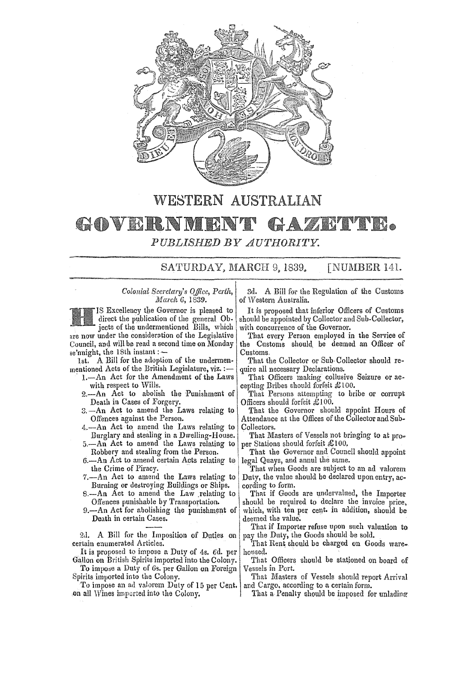

# WESTERN AUSTRALIAN

## GOVERNM HAZETTE. *PUBLISHED BY AUTHORITY.*

SATURDAY, MARCH 9, 1839. [NUMBER 141.

*Colonial Secretary's O'/fice, Perth, March* 6, 1839.

IS Excellency the Governor is pleased to direct the publication of the general Objects of the undermentioned Bills, which are now under the consideration of the Legislative Council, and will be read a second time on Monday se'nnight, the 18th instant: -

1st. A Bill for the adoption of the undermenmentioned Acts of the British Legislature, viz. :-

- 1.-An Act for the Amendment of the Laws with respect to Wills.
- 2.-An Act to abolish the Punishment of Death in Cases of Forgery.
- 3.-An Act to amend the Laws relating to Offences against tbe Person.
- 4.-An Act to amend the Laws relating to Burglary and stealing in a Dwelling-House.
- 5.-An Act to amend the Laws relating to Robbery and stealing from the Person.
- $6.$ --An Act to amend certain Acts relating to the Crime of Piracy.
- $7. -An$  Act to amend the Laws relating to Burning or destroying Buildings or Ships.
- S.-An Act to amend the Law .relating to Offences punishable by Transportation.
- 9.—An Act for abolishing the punishment of Death in certain Cases.

2d. A Bill for the Imposition of Duties on certain enumerated Articles.

It is proposed to impose a Duty of 48. cd. per Gallon on British Spirits imported into the Colony.

To impose a Duty of 6s. per Gallon on Foreign Spirits imported into the Colony.

To impose an ad valorem Duty of 15 per Cent. on all Wines impcrted into the Colony.

3d. A Bill for the Regulation of the Customs of Western Australia.

It is proposed that inferior Officers of Customs should be appointed by Collector and Sub-Collector. with concurrence of the Governor.

That every Person employed in the Service of the Customs should be deemed an Officer of Customs.

That the Collector or Sub·Collector should require all necessary Declarations.

That Officers making collusive Seizure or accepting Bribes should forfeit  $\pounds 100$ .

That Persons attempting to bribe or corrupt Officers should forfeit  $\pounds 100$ .

That the Governor should appoint Hours of Attendance at the Offices of the Collector and Sub-Collectors.

That Masters of Vessels not bringing to at proper Stations should forfeit £ 100.

That the Governor and Council should appoint legal Quays, and annul the same.

That when Goods are subject to an ad valorem Duty, the value should be declared upon entry, according to form.

That if Goods are undervalued, the Importer should be required to declare the invoice price, which, with ten per cent. in addition, should be deemed the value.

That if Importer refuse upon such valuation to pay the Duty, ihe Goods should be sold.

That Rent should be charged on Goods warehoused.

That Officers should be stationed on board of Vessels in Port.

That Masters of Vessels should report Arrival and Cargo. according to a certain form.

That a Penalty should be imposed for unlading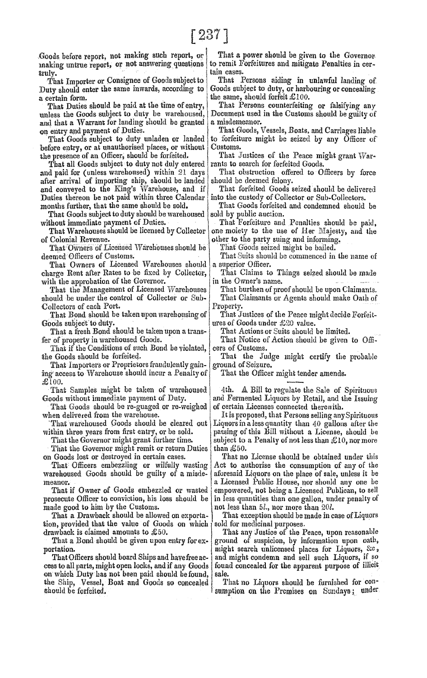making untrue report, or not answering questions to remit Formulations, to. remit Formulations, to. remit Formulations and mIt data masses.

Duty should enter the same inwards, according to a certain form. certain form.  $\begin{array}{c|c|c|c} \text{the same, should forfeit £100.} \end{array}$ <br>That Duties should be paid at the time of entry, That Persons counterfeiting

and that a Warrant for landing should be granted on entry and payment of Duties.

before entry, or at unauthorised places, or without the presence of an Officer, should be forfeited.

That all Goods subject to duty not duly entered | rants to search for ferfeited Goods.<br>d paid for (unless warehoused) within 21 days | That obstruction offered to Officers by force and paid for (unless warehoused) within 21 days That obstruction offered that and all  $\alpha$  of  $\alpha$  of  $\alpha$  in porting ship, should be landed should be deemed felony. after arrival of importing ship, should be landed should be deemed felony.<br>and conveyed to the King's Warehouse, and if That forfeited Goods seized should be delivered and conveyed to the King's Warehouse, and if That forfeited Goods seized should be delive<br>Duties thereon be not paid within three Calendar into the custody of Collector or Sub-Collectors. Duties thereon be not paid within three Calendar, months further, that the same should be sold.

That Goods subject to duty should be warehoused without immediate payment of Duties.

That Warehouses should be licensed by Collector one moiety to the use of Her Majesty, and the of Colonial Revenue.

That Owners of Licensed Warehouses should be deemed Officers of Customs.

That Owners of Licensed Warehouses should charge Rent after Rates to be fixed by Collector, That Claims to Things seized should be made<br>with the approbation of the Governor.

That the Management of Licensed Warehouses should be under the control of Collecter or Sub- That Claimants or Agents should make Oath of

Collectors of each Port.<br>That Bond should be taken upon warehousing of That J

That a fresh Bond should be taken upon a trans-<br>fer of property in warehoused Goods.

That if the Conditions of such Bond be violated,

That Importers or Proprietors fraudulently gain- ground of Seizure. ing access to Warehouse should incur a Penalty of That the Officer might tender amends.  $\pounds$ 100.

That Goods should be re-guaged or re-weighed

That the Governor might remit or return Duties than £50.<br>on Goods lost or destroyed in certain cases. That no

That Officers embezzling or wilfully wasting warehoused Goods should be guilty of a misde- aforesaid Liquors on the place of sale, unless it be

prosecute Officer to conviction, his loss should be in less quantities than one gallon, under penalty of

made good to him by the Customs.<br>That a Drawback should be allowed on exporta-<br>That exception should be made in c tion, provided that the value of Goods on which

cess to all parts, might open locks, and if any Goods | found concealed for the apparent purpose of illicit on which Duty has not been paid should be found, sale. the Ship, Vessel, Boat and Goods so concealed That no Liquors should be furnished for  $com$ should be forfeited. 3umption on the Premises on Sundays; under

Goods before report, not making such report, or That a power should be given to the Governor naking untrue report, or not answering questions to remit Forfeitures and mitigate Penalties in cer-

truly.<br> That Importer or Consignee of Goods subject to. That Persons aiding in unlawful landing of.<br> Duty should enter the same inwards, according to. Goods subject to duty, or harbouring or concealing

That Duties should be paid at the time of entry, That Persons counterfeiting or falsifying any unless the Goods subject to duty be warehoused, Document used in the Customs should be guilty of Document used in the Customs should be guilty of a misdemeanor.

entry and payment of Duties.<br>That Goods subject to duty unladen or landed to forfeiture might be seized by any Officer of to forfeiture might be seized by any Officer of<br>Customs.

That Justices of the Peace might grant War-

That Goods forfeited and condemned should be sold by public auction.

thout immediate payment of Duties. That Forfeiture and Penalties should be paid,<br>That Warehouses should be licensed by Collector one moiety to the use of Her Majesty, and the

other to the party suing and informing.<br>That Goods seized might be bailed.

That Suits should be commenced in the name of a superior Officer.

with the approbation of the Governor.  $\begin{array}{c|c|c|c|c} \text{in the Owner's name.} \end{array}$  That the Management of Licensed Warehouses That burthen of proof should be upon Claimants.

That Bond should be taken upon warehousing of That Justices of the Peace might decide Forfeit-Goods subject to duty. ures of Goods under  $\pounds 20$  value.<br>That Actions or Suits should be limited.

That Notice of Action should be given to Officers of Customs.

the Goods should be forfeited.  $\parallel$  That the Judge might certify the probable

That Samples might be taken of warehoused  $\begin{vmatrix} 4th. & A Bill to regulate the Sale of Spirituous  
and is written as  $\begin{bmatrix} 4th. & A. & Bill to regulate the Sale of Spirituous  
and is required. & \end{bmatrix}$$ and Fermented Liquors by Retail, and the Issuing of certain Licenses connected therewith.

when delivered from the warehouse.<br>
That warehoused Goods should be cleared out Liquors in a less quantity than 40 gallons after the Liquors in a less quantity than 40 gallons after the within three years from first entry, or be sold. | passing of this Bill without a License, should be That the Governor might grant further time. Subject to a Penalty of not less than  $\pounds 10$ , nor more

That no License should be obtained under this Act to authorise the consumption of any of the meanor.<br>That if Owner of Goods embezzled or wasted empowered, not being a Licensed Publican, to sell empowered, not being a Licensed Publican, to sell

That exception should be made in case of Liquors<br>sold for medicinal purposes.

drawback is claimed amounts to £50.<br>That a Bond should be given upon entry for ex-ground of suspicion, by information upon oath, That a Bond should be given upon entry for ex- ground of suspicion, by information upon oath, portation. might search unlicensed places for Liquors, &c, That Officers should board Ships and have free ac- and might condemn and sell such Liquors, if so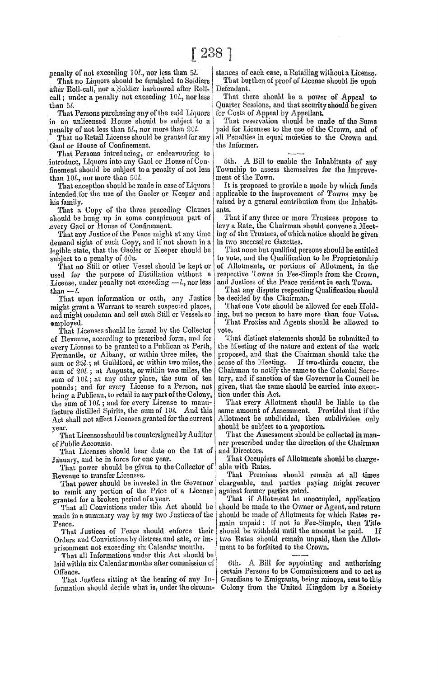penalty of not exceeding 10l., nor less than 5l.

'fhat no Liquors should be furnished to Soldiers after Roll-call, nor a Soldier harboured after Rollcall; under a penalty not exceeding 10l., nor less than 5l.

That Persons purchasing any of the said Liquors in an unlicensed House should be subject to a penalty of not less than *5l.,* nor more than *20l.* 

That no Retail License should be granted for any Gaol or House of Confinement.

That Persons introducing, or endeavouring to introduce, Liquors into any Gaol or House of Conintroduce, Liquors into any Gaol or House of Con-  $|$  5th. A Bill to enable the Inhabitants of any finement should be subject to a penalty of not less Township to assess themselves for the Improvethan 10l., nor more than 50l.<br>That exception should be made in case of Liquors

intended for the use of the Gaoler or Keeper and

That a Copy of the three preceding Clauses ants.<br>
ould be hung up in some conspicuous part of That if any three or more Trustees propose to

demand sight of such Copy, and if not shown in a in two successive Gazettes.<br>legible state, that the Gaoler or Keeper should be That none but qualified persons should be entitled legible state, that the Gaoler or Keeper should be subject to a penalty of 40s.

used for the purpose of Distillation without a respective Towns in Fee-Simple from the Crown.<br>License, under penalty not exceeding  $-L$ , nor less and Justices of the Peace resident in each Town. License, under penalty not exceeding  $-l$ , nor less

That upon information or oath, any Justice be decided by the Chairman.<br>ight grant a Warrant to search suspected places, That one Vote should be allowed for each Holdmight grant a Warrant to search suspected places, That one Vote should be allowed for each Hold-<br>and might condemn and sell such Still or Vessels so ing, but no person to have more than four Votes. and might condemn and sell such Still or Vessels so

That Licenses should be issued by the Collector  $|$  vote.<br>Revenue, according to prescribed form, and for  $|$  That distinct statements should be submitted to of Revenue, according to prescribed form, and for  $\vert$  That distinct statements should be submitted to every License to be granted to a Publican at Perth, the Meeting of the nature and extent of the work every License to be granted to a Publican at Perth, the Meeting of the nature and extent of the work<br>Fremantle, or Albany, or within three miles, the proposed, and that the Chairman should take the Fremantle, or Albany, or within three miles, the proposed, and that the Chairman should take the sum or  $25l$ , at Guildford, or within two miles, the sense of the Meeting. If two-thirds concur, the sum or 25*l*.; at Guildford, or within two miles, the sense of the Meeting. If two-thirds concur, the sum of 20*l*.; at Augusta, or within two miles, the Chairman to notify the same to the Colonial Secrepounds; and for every License to a Person, not given, that the same should be carried into execu-<br>being a Publican, to retail in any part of the Colony, tion under this Act. being a Publican, to retail in any part of the Colony, in under this Act.<br>the sum of  $10l$ , and for every License to manu-<br>That every Allotment should be liable to the the sum of 10*l.*; and for every License to manu-<br>facture distilled Spirits, the sum of 10*l.* And this same amount of Assessment. Provided that if the facture distilled Spirits, the sum of  $10l$ . And this same amount of Assessment. Provided that if the Act shall not affect Licenses granted for the current Allotment be subdivided, then subdivision only Act shall not affect Licenses granted for the current year. should be subject to a proportion.<br>That Licenses should be countersigned by Auditor That the Assessment should be

That Licenses should bear date on the 1st of

That power should be given to the Collector of Revenue to transfer Licenses.

to remit any portion of the Price of a License granted for a broken period of a year.

made in a summary way by any two Justices of the

Orders and Convictions by distress and sale, or im- | two Rates should remain unpaid, then we are Allotted to the Allotted to the Crown. prisonment not exceeding six Calendar months.

That all Informations under this Act should be laid within six Calendar months after commission of Offence.

That Justices sitting at the hearing of any Information should decide what is, under the circum-

stances of each case, a Retailing without a License. That burthen of proof of License should lie upon Defendant.

That there should be a power of Appeal to Quarter Sessions, and that security should be given for Costs of Appeal by Appellant.

That reservation should be made of the Sums paid for Licenses to the use of the Crown, and of all Penalties in equal moieties to the Crown and the Informer.

Township to assess themselves for the Improve-<br>ment of the Town.

It is proposed to provide a mode by which funds<br>applicable to the improvement of Towns may be his family.<br>That a Copy of the three preceding Clauses ants.<br>Interval contribution from the Inhabit-

should be hung up in some conspicuous part of  $\vert$  That if any three or more Trustees propose to .every Gaol or House of Confinement. levy a Rate, the Chairman should convene a Meet-That any Justice of the Peace might at any time  $\lfloor \log \text{ of the Trustees, of which notice should be given}$ <br>mand sight of such Copy, and if not shown in a  $\lfloor \text{ in two successive Gazettes.} \rfloor$ 

bject to a penalty of  $40s$ .<br>That no Still or other Vessel should be kept or  $\vert$  of Allotments, or portions of Allotment, in the of Allotments, or portions of Allotment, in the respective Towns in Fee-Simple from the Crown.

than  $\overline{-l}$ .<br>That upon information or oath, any Justice be decided by the Chairman.

**employed.** That Proxies and Agents should be allowed to reflect to the state of the state of the state of the state of the state of the state of the state of the state of the state of the state of the state of the state o

sum of 20l.; at Augusta, or within two miles, the Chairman to notify the same to the Colonial Secre-<br>sum of 10l.; at any other place, the sum of ten | tary, and if sanction of the Governor in Council be

That Licenses should be countersigned by Auditor That the Assessment should be collected in man-<br>of Public Accounts. ner prescribed under the direction of the Chairman<br>and Directors.

January, and be in force for one year.<br>That Occupiers of Allotments should be charge-<br>That nower should be given to the Collector of able with Rates.

venue to transfer Licenses.<br>That power should be invested in the Governor chargeable, and parties paying might recover chargeable, and parties paying might recover against former parties rated.

That if Allotment be unoccupied, application<br>should be made to the Owner or Agent, and return That all Convictions under this Act should be should be made to the Owner or Agent, and return ade in a summary way by any two Justices of the should be made of Allotments for which Rates re-Peace. main unpaid: if not in Fee-Simple, then Title That Justices of Peace should enforce their should be withheld until the amount be paid. If That Justices of Peace should enforce their should be withheld until the amount be paid. If  $r$  rears and Convictions by distress and sale, or im- two Rates should remain unpaid, then the Allot-

> 6th. A Bill for appointing and authorising certain Persons to be Commissioners and to act as Guardians to Emigrants, being minors, sent to this Colony from the United Kingdom by a Society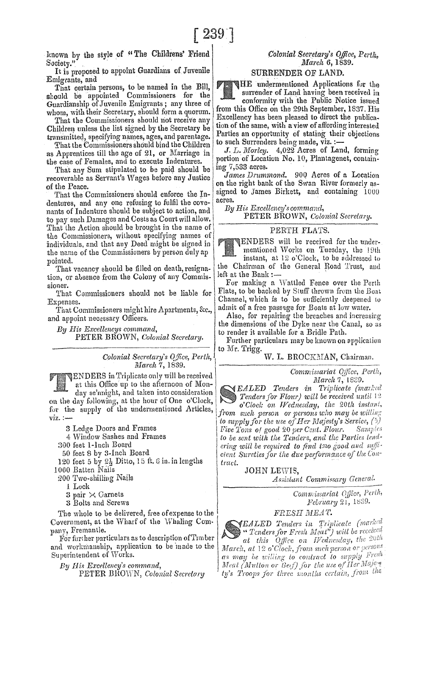known by the style of "The Childrens' Friend Society."

It is proposed to appoint Guardians of Juvenile Emigrants, and

That certain persons, to be named in the Bill, should be appointed Commissioners for the Guardianship of Juvenile Emigrants j any three of whom, with their Secretary, should form a quorum.

That the Commissioners should not receive any Children unless the list signed by the Secretary be transmitted, specifying names, ages, and parentage.

That the Commissioners should bind the Children as Apprentices till the age of 21, or Marriage in the case of Females, and to execute Indentures.

That any Sum stipulated to be paid should be recoverable as Servant's Wages before any Justice of the Peace.

That the Commissioners should enforce the Indentures, and any one refusing to fulfil the covenants of Indenture should be subject to action, and to pay such Damages and Costs as Court will allow. That the Action should be brought in the name of the Commissioners, without specifying names of individuals, and that any Deed might be signed in **ENDERS** will be received for the under-<br>the name of the Commissioners by person duly ap **ENDERS** will be received for the under-

That vacancy should be filled on death, resigna- the Chairman of the General Space of the General Left at the Bank :-

That Commissioners should not be liable for

That Commissioners might hire Apartments, &c., and appoint necessary Officers. Also, for repairing the breaches and increasing

PETER BROWN, Colonial Secretary.

*Colonial Secretary's Qfice, Perth,*  $March$  **W. L. BROCKMAN, Chairman.** *March 7*, 1839. *Commissariat Qfice, Perth,**Commissariat Qfice, Perth,**Commissariat Q. Commissariat Q. Commissariat Q. Algenting* 

**ENDERS** in Triplicate only will be received<br>at this Office up to the afternoon of Mon-<br>at this Office up to the afternoon of Mon-<br>and *EALED* Tenders in Triplicate (marked

on the day following, at the hour of One o'Clock,  $\sum_{o'Clock}$  on Wednesday, the 20th instant, for the supply of the undermentioned Articles, viz. :\_ ' *Ifrom such person or persons who may be* 

3 Ledge Doors and Frames

<1 Window Sashes and Frames

300 feet I-Inch Board

50 feet 8 bv 3-Inch Board 120 feet 5 by  $2\frac{1}{2}$  Ditto, 15 ft. 6 in. in lengths 1000 Batten Nails

200 Two-shilling Nails

1 Lock

3 pair  $\times$  Garnets

3 Bolts and Screws

The whole to be delivered, free of expense to the Covernment, at the Wharf of the Whaling Com-<br>pany, Fremantle.

and workmanship, application to be made to the Superintendent of Works.

#### *Colonial Secretary's Office, Perth. March* 6, 1839.

### SURRENDER OF LAND.

HE undermentioned Applications for the surrender of Land having been received in

conformity with the Public Notice issued from this Office on the 29th September, 1837. His Excellency has been pleased to direct the publication of the same, with a view of affording interested Parties an opportunity of stating their objections to such Surrenders being made, viz. :-

J. L. Morley. 4,022 Acres of Land, forming portion of Location No. 10, Plantagenet, containmg 7,533 acres.

James Drummond. 900 Acres of a Location on the right bank of the Swan River formerly assigned to James Birkett, and containing 1000 acres.

*By His Rrcellency'sc011lmand,* 

PETER BROWN, *Colonial Secreiary.* 

#### PERTH FLATS.

the name of the Commissioners by person duly ap<br>pointed. instant, at 12 o'Clock, to be addressed to<br>That vacancy should be filled on death resigna-<br>the Chairman of the General Road Trust, and

tion, or absence from the Colony of any Commis- left at the Bank :---<br>sioner. For making a Wattled Fence over the Perth<br>That Cammissioners should not be liable for Flats, to be backed by Stuff thrown from the Boat Expenses. Channel, which is to be sufficiently deepened to<br>That Commissioners might hire Apartments.  $g_{\text{rc}}$  admit of a free passage for Boats at low water.

*By His Excellencys command,*  $By$  His Excellencys command, the dimensions of the Dyke near the Canal, so as

Further particulars may be known on application<br>Colonial Secretary's Office, Perth, to Mr. Trigg.<br>W. L. BROCKMAN, Chairman.

day se'nnight, and taken into consideration **EALED Tenders** for Flour) will be received until 12 to supply for the use of Her Majesty's Service, (5)<br>Five Tons of good 20 per Cent. Flour. Samples  $Five\c{Tons}$  o/ good 20 per Cent. Flour. to be sent with the Tenders, and the Parties tend-<sup>1</sup> ing 200 50 required to find the gest of the cient Sureties for the due performance of the tract. ering will be required to find tmo good and suffitract.<br>JOHN LEWIS,

*Assistant Commissary General.* 

Commissariat Office, Perth, *February* 21, 1839.

#### ${F}$ RESH  ${M}$ EAT.

The whole to be delivered, free of expense to the<br>
Covernment, at the Wharf of the Whaling Com-<br>
pany, Fremantle.<br>
For further particulars as to description of Timber<br>
and workmanship, application to be made to the<br>
March By His Excellency's command, Meat *(Mutton or Beef)* for the use *March*, at 12 o'Clock, from such person or persons as may be willing to contract to supply Fresh Py His Excellency's command,<br>PETER BROWN, Colonial Secretory ty's Troops for three months certain, from the